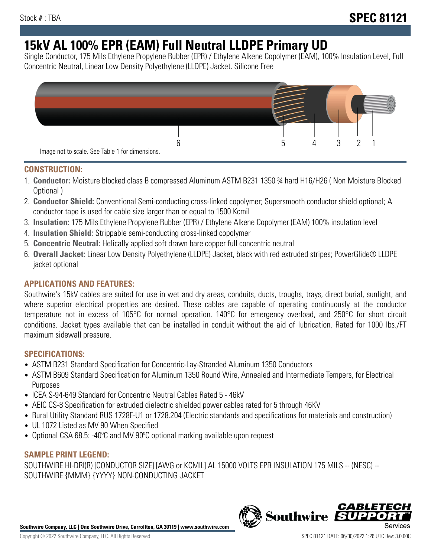# **15kV AL 100% EPR (EAM) Full Neutral LLDPE Primary UD**

Single Conductor, 175 Mils Ethylene Propylene Rubber (EPR) / Ethylene Alkene Copolymer (EAM), 100% Insulation Level, Full Concentric Neutral, Linear Low Density Polyethylene (LLDPE) Jacket. Silicone Free



## **CONSTRUCTION:**

- 1. **Conductor:** Moisture blocked class B compressed Aluminum ASTM B231 1350 ¾ hard H16/H26 ( Non Moisture Blocked Optional )
- 2. **Conductor Shield:** Conventional Semi-conducting cross-linked copolymer; Supersmooth conductor shield optional; A conductor tape is used for cable size larger than or equal to 1500 Kcmil
- 3. **Insulation:** 175 Mils Ethylene Propylene Rubber (EPR) / Ethylene Alkene Copolymer (EAM) 100% insulation level
- 4. **Insulation Shield:** Strippable semi-conducting cross-linked copolymer
- 5. **Concentric Neutral:** Helically applied soft drawn bare copper full concentric neutral
- 6. **Overall Jacket:** Linear Low Density Polyethylene (LLDPE) Jacket, black with red extruded stripes; PowerGlide® LLDPE jacket optional

# **APPLICATIONS AND FEATURES:**

Southwire's 15kV cables are suited for use in wet and dry areas, conduits, ducts, troughs, trays, direct burial, sunlight, and where superior electrical properties are desired. These cables are capable of operating continuously at the conductor temperature not in excess of 105°C for normal operation. 140°C for emergency overload, and 250°C for short circuit conditions. Jacket types available that can be installed in conduit without the aid of lubrication. Rated for 1000 lbs./FT maximum sidewall pressure.

# **SPECIFICATIONS:**

- ASTM B231 Standard Specification for Concentric-Lay-Stranded Aluminum 1350 Conductors
- ASTM B609 Standard Specification for Aluminum 1350 Round Wire, Annealed and Intermediate Tempers, for Electrical Purposes
- ICEA S-94-649 Standard for Concentric Neutral Cables Rated 5 46kV
- AEIC CS-8 Specification for extruded dielectric shielded power cables rated for 5 through 46KV
- Rural Utility Standard RUS 1728F-U1 or 1728.204 (Electric standards and specifications for materials and construction)
- UL 1072 Listed as MV 90 When Specified
- Optional CSA 68.5: -40°C and MV 90°C optional marking available upon request

#### **SAMPLE PRINT LEGEND:**

SOUTHWIRE HI-DRI(R) [CONDUCTOR SIZE] [AWG or KCMIL] AL 15000 VOLTS EPR INSULATION 175 MILS -- (NESC) -- SOUTHWIRE {MMM} {YYYY} NON-CONDUCTING JACKET



**Southwire** 

*CABLE*